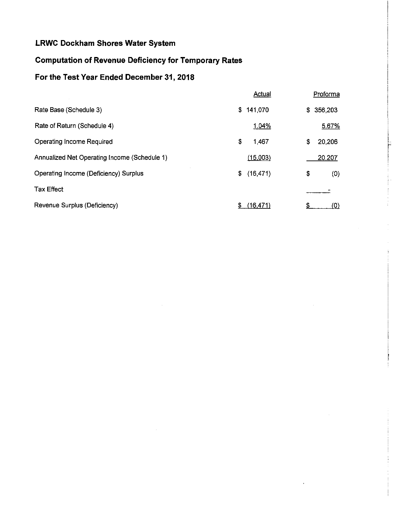# **Computation of Revenue Deficiency for Temporary Rates**

# **For the Test Year Ended December 31, 2018**

|                                              | <b>Actual</b>   | Proforma     |  |
|----------------------------------------------|-----------------|--------------|--|
| Rate Base (Schedule 3)                       | \$141,070       | \$356,203    |  |
| Rate of Return (Schedule 4)                  | 1.04%           | 5.67%        |  |
| <b>Operating Income Required</b>             | \$<br>1,467     | \$<br>20,206 |  |
| Annualized Net Operating Income (Schedule 1) | (15,003)        | 20,207       |  |
| Operating Income (Deficiency) Surplus        | (16, 471)<br>\$ | \$<br>(0)    |  |
| <b>Tax Effect</b>                            |                 |              |  |
| Revenue Surplus (Deficiency)                 | (16, 471)<br>S. | S<br>(0)     |  |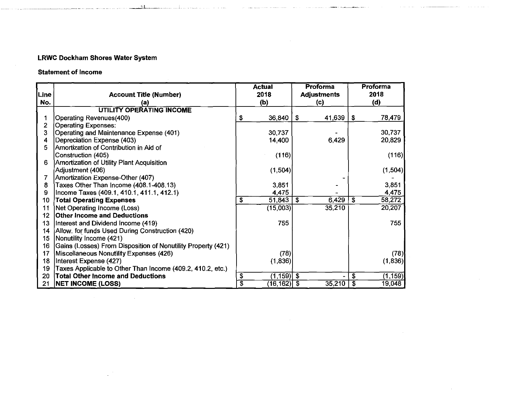1·'11

<u>.</u><br>1960 - John Louis Louis II, martxa

## **Statement of Income**

|                 |                                                              | <b>Actual</b>           |                |      | <b>Proforma</b>    |                             | Proforma |
|-----------------|--------------------------------------------------------------|-------------------------|----------------|------|--------------------|-----------------------------|----------|
| Line            | <b>Account Title (Number)</b>                                | 2018                    |                |      | <b>Adjustments</b> |                             | 2018     |
| No.             | (a)                                                          | (b)                     |                | (c)  |                    |                             | (d)      |
|                 | UTILITY OPERATING INCOME                                     |                         |                |      |                    |                             |          |
|                 | <b>Operating Revenues(400)</b>                               | \$                      | 36,840         | \$   | 41,639             | $\mathbf{s}$                | 78,479   |
| $\overline{2}$  | <b>Operating Expenses:</b>                                   |                         |                |      |                    |                             |          |
| 3               | Operating and Maintenance Expense (401)                      |                         | 30,737         |      |                    |                             | 30,737   |
| 4               | Depreciation Expense (403)                                   |                         | 14,400         |      | 6,429              |                             | 20,829   |
| 5               | Amortization of Contribution in Aid of                       |                         |                |      |                    |                             |          |
|                 | Construction (405)                                           |                         | (116)          |      |                    |                             | (116)    |
| 6               | Amortization of Utility Plant Acquisition                    |                         |                |      |                    |                             |          |
|                 | Adjustment (406)                                             |                         | (1, 504)       |      |                    |                             | (1,504)  |
| 7               | Amortization Expense-Other (407)                             |                         |                |      |                    |                             |          |
| 8               | Taxes Other Than Income (408.1-408.13)                       |                         | 3,851          |      |                    |                             | 3,851    |
| 9               | Income Taxes (409.1, 410.1, 411.1, 412.1)                    |                         | 4,475          |      |                    |                             | 4,475    |
| 10              | <b>Total Operating Expenses</b>                              | \$                      | 51,843         | - \$ | 6,429              | $\overline{\mathbf{s}}$     | 58,272   |
| 11              | Net Operating Income (Loss)                                  |                         | (15,003)       |      | 35,210             |                             | 20,207   |
| 12 <sub>2</sub> | <b>Other Income and Deductions</b>                           |                         |                |      |                    |                             |          |
| 13              | Interest and Dividend Income (419)                           |                         | 755            |      |                    |                             | 755      |
| 14              | Allow. for funds Used During Construction (420)              |                         |                |      |                    |                             |          |
| 15 <sub>1</sub> | Nonutility Income (421)                                      |                         |                |      |                    |                             |          |
| 16              | Gains (Losses) From Disposition of Nonutility Property (421) |                         |                |      |                    |                             |          |
| 17              | Miscellaneous Nonutility Expenses (426)                      |                         | (78)           |      |                    |                             | (78)     |
| 18              | Interest Expense (427)                                       |                         | (1,836)        |      |                    |                             | (1,836)  |
| 19              | Taxes Applicable to Other Than Income (409.2, 410.2, etc.)   |                         |                |      |                    |                             |          |
| 20              | <b>Total Other Income and Deductions</b>                     | \$                      | $(1,159)$ \$   |      |                    | $\overline{\boldsymbol{s}}$ | (1, 159) |
| 21              | <b>NET INCOME (LOSS)</b>                                     | $\overline{\mathbb{s}}$ | $(16, 162)$ \$ |      | 35,210             | $\overline{\mathfrak{s}}$   | 19,048   |

and a series of the company of the company of the company of the company of the company of the company of the company of the company of the company of the company of the company of the company of the company of the company

 $\sim$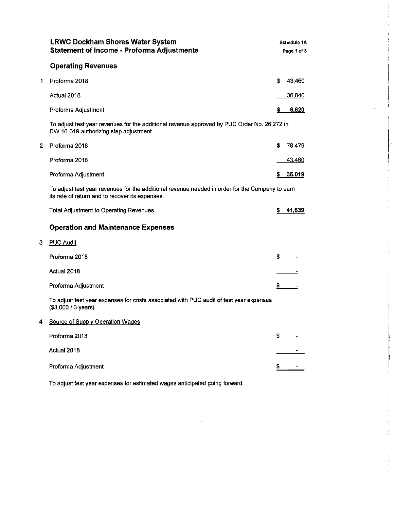|                | <b>LRWC Dockham Shores Water System</b><br><b>Statement of Income - Proforma Adjustments</b>                                                       |    | Schedule 1A<br>Page 1 of 3 |
|----------------|----------------------------------------------------------------------------------------------------------------------------------------------------|----|----------------------------|
|                | <b>Operating Revenues</b>                                                                                                                          |    |                            |
| 1              | Proforma 2018                                                                                                                                      | \$ | 43,460                     |
|                | Actual 2018                                                                                                                                        |    | <u>36,840</u>              |
|                | Proforma Adjustment                                                                                                                                | 5  | 6,620                      |
|                | To adjust test year revenues for the additional revenue approved by PUC Order No. 26,272 in<br>DW 16-619 authorizing step adjustment.              |    |                            |
| $\overline{2}$ | Proforma 2018                                                                                                                                      | S  | 78,479                     |
|                | Proforma 2018                                                                                                                                      |    | 43,460                     |
|                | Proforma Adjustment                                                                                                                                | s  | 35,019                     |
|                | To adjust test year revenues for the additional revenue needed in order for the Company to earn<br>its rate of return and to recover its expenses. |    |                            |
|                | <b>Total Adjustment to Operating Revenues</b>                                                                                                      | s  | 41,639                     |
|                | <b>Operation and Maintenance Expenses</b>                                                                                                          |    |                            |
| 3              | <b>PUC Audit</b>                                                                                                                                   |    |                            |
|                | Proforma 2018                                                                                                                                      | \$ |                            |
|                | Actual 2018                                                                                                                                        |    |                            |
|                | Proforma Adjustment                                                                                                                                | S. |                            |
|                | To adjust test year expenses for costs associated with PUC audit of test year expenses<br>(\$3,000 / 3 years)                                      |    |                            |
| 4              | Source of Supply Operation Wages                                                                                                                   |    |                            |
|                | Proforma 2018                                                                                                                                      | S  |                            |
|                | Actual 2018                                                                                                                                        |    |                            |
|                | Proforma Adjustment                                                                                                                                | s  |                            |

Þ

 $\bar{\psi}$ ÷  $\begin{bmatrix} 1 \\ 1 \\ 2 \end{bmatrix}$  $\frac{1}{2}$  $\frac{1}{2}$  $\bar{z}$ 

 $\bar{\Gamma}$ 

 $\frac{1}{2}$ 

Ť

ŧ  $\frac{1}{2}$ 

Ť  $\frac{1}{2}$ ÷

 $\begin{array}{c} 1 \\ 2 \\ 3 \\ 4 \end{array}$  $\zeta$ 

To adjust test year expenses for estimated wages anticipated going forward.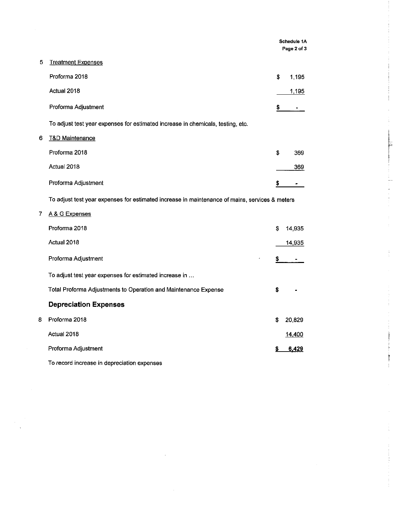|   |                                                                                                |    | Schedule 1A<br>Page 2 of 3 |   |  |
|---|------------------------------------------------------------------------------------------------|----|----------------------------|---|--|
| 5 | <b>Treatment Expenses</b>                                                                      |    |                            |   |  |
|   | Proforma 2018                                                                                  | \$ | 1,195                      |   |  |
|   | Actual 2018                                                                                    |    | 1,195                      |   |  |
|   | Proforma Adjustment                                                                            | \$ |                            |   |  |
|   | To adjust test year expenses for estimated increase in chemicals, testing, etc.                |    |                            |   |  |
| 6 | <b>T&amp;D Maintenance</b>                                                                     |    |                            |   |  |
|   | Proforma 2018                                                                                  | \$ | 369                        |   |  |
|   | Actual 2018                                                                                    |    | 369                        |   |  |
|   | Proforma Adjustment                                                                            | s  |                            |   |  |
|   | To adjust test year expenses for estimated increase in maintenance of mains, services & meters |    |                            |   |  |
| 7 | A & G Expenses                                                                                 |    |                            |   |  |
|   | Proforma 2018                                                                                  | \$ | 14,935                     |   |  |
|   | Actual 2018                                                                                    |    | 14,935                     |   |  |
|   | Proforma Adjustment                                                                            | \$ |                            | ŧ |  |
|   | To adjust test year expenses for estimated increase in                                         |    |                            |   |  |
|   | Total Proforma Adjustments to Operation and Maintenance Expense                                | \$ |                            |   |  |
|   | <b>Depreciation Expenses</b>                                                                   |    |                            |   |  |
| 8 | Proforma 2018                                                                                  | \$ | 20,829                     |   |  |
|   | Actual 2018                                                                                    |    | 14,400                     |   |  |
|   | Proforma Adjustment                                                                            |    | 6,429                      |   |  |
|   |                                                                                                |    |                            |   |  |

 $\ddot{\phantom{a}}$ 

 $\mathbb T$ 

 $\frac{1}{4}$ 

 $\ddot{\mathrm{t}}$ 

 $\begin{aligned} \mathcal{L}_{\mathcal{A}}(\mathcal{A}) &\rightarrow \mathcal{L}_{\mathcal{A}}(\mathcal{A}) \\ &\rightarrow \mathcal{L}_{\mathcal{A}}(\mathcal{A}) &\rightarrow \mathcal{L}_{\mathcal{A}}(\mathcal{A}) \end{aligned}$ 

To record increase in depreciation expenses

 $\bar{z}$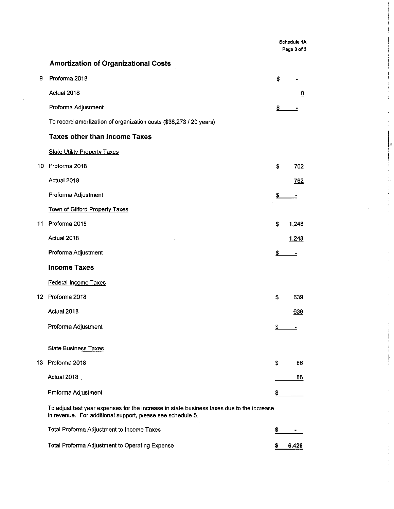**Schedule 1A Page 3 of 3** 

 $\hat{\mathcal{L}}$ 

 $\frac{1}{2}$ 

## **Amortization of Organizational Costs**

| 9  | Proforma 2018                                                                                                                                           | S                        |                          |    |
|----|---------------------------------------------------------------------------------------------------------------------------------------------------------|--------------------------|--------------------------|----|
|    | Actual 2018                                                                                                                                             |                          | $\overline{\Omega}$      |    |
|    | Proforma Adjustment                                                                                                                                     | Ş                        |                          |    |
|    | To record amortization of organization costs (\$38,273 / 20 years)                                                                                      |                          |                          |    |
|    | <b>Taxes other than Income Taxes</b>                                                                                                                    |                          |                          |    |
|    | <b>State Utility Property Taxes</b>                                                                                                                     |                          |                          |    |
| 10 | Proforma 2018                                                                                                                                           | \$                       | 762                      |    |
|    | Actual 2018                                                                                                                                             |                          | 762                      |    |
|    | Proforma Adjustment                                                                                                                                     | $\mathbf{\underline{s}}$ |                          |    |
|    | Town of Gilford Property Taxes                                                                                                                          |                          |                          |    |
| 11 | Proforma 2018                                                                                                                                           | \$                       | 1,248                    |    |
|    | Actual 2018                                                                                                                                             |                          | 1,248                    |    |
|    | Proforma Adjustment                                                                                                                                     | \$                       | $\overline{\phantom{a}}$ | ÷, |
|    | <b>Income Taxes</b>                                                                                                                                     |                          |                          |    |
|    | Federal Income Taxes                                                                                                                                    |                          |                          |    |
|    | 12 Proforma 2018                                                                                                                                        | \$                       | 639                      |    |
|    | Actual 2018                                                                                                                                             |                          | 639                      |    |
|    | Proforma Adjustment                                                                                                                                     | ↨                        |                          |    |
|    | <b>State Business Taxes</b>                                                                                                                             |                          |                          |    |
|    | 13 Proforma 2018                                                                                                                                        | \$                       | 86                       |    |
|    | Actual 2018                                                                                                                                             |                          | 86                       |    |
|    |                                                                                                                                                         |                          |                          |    |
|    | Proforma Adjustment                                                                                                                                     | \$                       |                          |    |
|    | To adjust test year expenses for the increase in state business taxes due to the increase<br>in revenue. For additional support, please see schedule 5. |                          |                          |    |
|    |                                                                                                                                                         |                          |                          |    |

Total Proforma Adjustment to Income Taxes **\$**  $\sim$   $-$ Total Proforma Adjustment to Operating Expense **by the CONSTANDING SALARY CONSTANDING SALARY 6,429**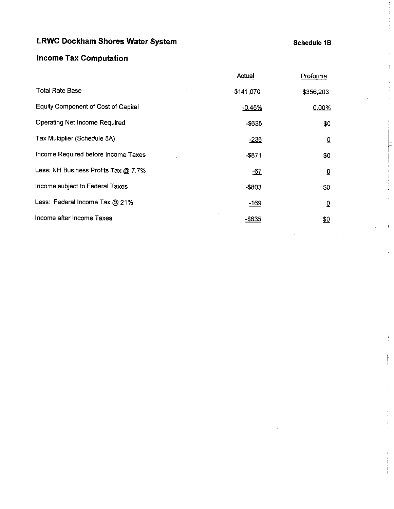# **LRWC Dockham Shores Water System Schedule 18 and Schedule 18 and Schedule 18 and Schedule 18 and Schedule 18 and Schedule 18 and Schedule 18 and Schedule 18 and Schedule 18 and Schedule 18 and Schedule 18 and Schedule 18**

# **Income Tax Computation**

|                                            | <u>Actual</u> | Proforma       |  |
|--------------------------------------------|---------------|----------------|--|
| <b>Total Rate Base</b>                     | \$141,070     | \$356,203      |  |
| <b>Equity Component of Cost of Capital</b> | $-0.45%$      | 0.00%          |  |
| Operating Net Income Required              | -\$635        | \$0            |  |
| Tax Multiplier (Schedule 5A)               | $-236$        | $\overline{0}$ |  |
| Income Required before Income Taxes        | $-$ \$871     | \$0            |  |
| Less: NH Business Profits Tax @ 7.7%       | $-67$         | $\overline{0}$ |  |
| Income subject to Federal Taxes            | $-$803$       | \$0            |  |
| Less: Federal Income Tax @ 21%             | $-169$        | ₫              |  |
| Income after Income Taxes                  | $-$ \$635     | \$0            |  |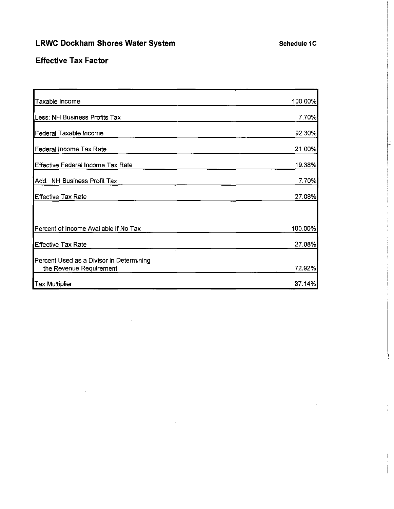# LRWC Dockham Shores Water System **Supering the Contract Contract Contract Contract Contract Contract Contract Contract Contract Contract Contract Contract Contract Contract Contract Contract Contract Contract Contract Cont**

## **Effective Tax Factor**

| Taxable Income                                                      | 100.00% |
|---------------------------------------------------------------------|---------|
| Less: NH Business Profits Tax                                       | 7.70%   |
| Federal Taxable Income                                              | 92.30%  |
| Federal Income Tax Rate                                             | 21.00%  |
| Effective Federal Income Tax Rate                                   | 19.38%  |
| Add: NH Business Profit Tax                                         | 7.70%   |
| Effective Tax Rate                                                  | 27.08%  |
|                                                                     |         |
| Percent of Income Available if No Tax                               | 100.00% |
| <b>Effective Tax Rate</b>                                           | 27.08%  |
| Percent Used as a Divisor in Determining<br>the Revenue Requirement | 72.92%  |
| Tax Multiplier                                                      | 37.14%  |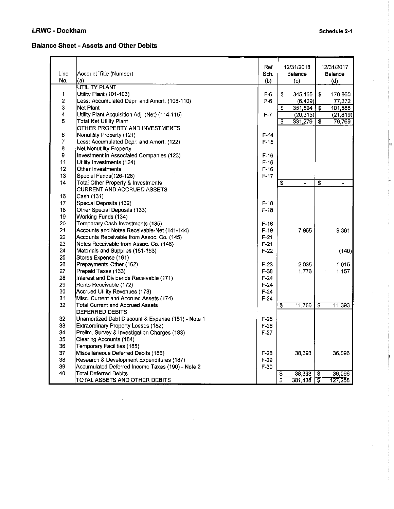## **LRWC - Dockham** Schedule 2-1

Þ

 $\Delta$ 

### **Balance Sheet - Assets and Other Debits**

|                 |                                                    | Ref    |    | 12/31/2018     |                                        | 12/31/2017               |
|-----------------|----------------------------------------------------|--------|----|----------------|----------------------------------------|--------------------------|
| Line            | Account Title (Number)                             | Sch.   |    | Balance        |                                        | Balance                  |
| No.             | (a)                                                | (b)    |    | (c)            |                                        | (d)                      |
|                 | <b>UTILITY PLANT</b>                               |        |    |                |                                        |                          |
| 1               | Utility Plant (101-106)                            | $F-6$  | \$ | 345,165        | \$                                     | 178,860                  |
| $\overline{2}$  | Less: Accumulated Depr. and Amort. (108-110)       | $F-6$  |    | (6, 429)       |                                        | 77,272                   |
| з               | Net Plant                                          |        | \$ | 351,594        | \$                                     | 101,588                  |
| 4               | Utility Plant Acquisition Adj. (Net) (114-115)     | F-7    |    | (20, 315)      |                                        | (21, 819)                |
| 5               | <b>Total Net Utility Plant</b>                     |        | \$ | 331,279        | \$                                     | 79,769                   |
|                 | OTHER PROPERTY AND INVESTMENTS                     |        |    |                |                                        |                          |
| 6               | Nonutility Property (121)                          | $F-14$ |    |                |                                        |                          |
| 7               | Less: Accumulated Depr. and Amort. (122)           | $F-15$ |    |                |                                        |                          |
| 8               | <b>Net Nonutility Property</b>                     |        |    |                |                                        |                          |
| 9               | Investment in Associated Companies (123)           | $F-16$ |    |                |                                        |                          |
| 11              | Utility Investments (124)                          | $F-16$ |    |                |                                        |                          |
| 12 <sub>2</sub> | Other Investments                                  | $F-16$ |    |                |                                        |                          |
| 13              | Special Funds(126-128)                             | $F-17$ |    |                |                                        |                          |
| 14              | Total Other Property & Investments                 |        | \$ | $\overline{a}$ | \$                                     | $\overline{\phantom{0}}$ |
|                 | <b>CURRENT AND ACCRUED ASSETS</b>                  |        |    |                |                                        |                          |
| 16              | Cash (131)                                         |        |    |                |                                        |                          |
| 17              | Special Deposits (132)                             | $F-18$ |    |                |                                        |                          |
| 18              | Other Special Deposits (133)                       | $F-18$ |    |                |                                        |                          |
| 19              | Working Funds (134)                                |        |    |                |                                        |                          |
| 20              | Temporary Cash Investments (135)                   | $F-16$ |    |                |                                        |                          |
| 21              | Accounts and Notes Receivable-Net (141-144)        | $F-19$ |    | 7,955          |                                        | 9,361                    |
| 22              | Accounts Receivable from Assoc. Co. (145)          | F-21   |    |                |                                        |                          |
| 23              | Notes Receivable from Assoc. Co. (146)             | $F-21$ |    |                |                                        |                          |
| 24              | Materials and Supplies (151-153)                   | $F-22$ |    |                |                                        | (140)                    |
| 25              | Stores Expense (161)                               |        |    |                |                                        |                          |
| 26              | Prepayments-Other (162)                            | $F-23$ |    | 2,035          |                                        | 1,015                    |
| 27              | Prepaid Taxes (163)                                | $F-38$ |    | 1,776          |                                        | 1,157                    |
| 28              | Interest and Dividends Receivable (171)            | $F-24$ |    |                |                                        |                          |
| 29              | Rents Receivable (172)                             | $F-24$ |    |                |                                        |                          |
| 30              | Accrued Utility Revenues (173)                     | $F-24$ |    |                |                                        |                          |
| 31              | Misc. Current and Accrued Assets (174)             | $F-24$ |    |                |                                        |                          |
| 32              | <b>Total Current and Accrued Assets</b>            |        | \$ | 11,766         | S                                      | 11,393                   |
|                 | <b>DEFERRED DEBITS</b>                             |        |    |                |                                        |                          |
| 32              | Unamortized Debt Discount & Expense (181) - Note 1 | $F-25$ |    |                |                                        |                          |
| 33              | Extraordinary Property Losses (182)                | $F-26$ |    |                |                                        |                          |
| 34              | Prelim. Survey & Investigation Charges (183)       | $F-27$ |    |                |                                        |                          |
| 35              | Clearing Accounts (184)                            |        |    |                |                                        |                          |
| 36              | Temporary Facilities (185)                         |        |    |                |                                        |                          |
| 37              | Miscellaneous Deferred Debits (186)                | $F-28$ |    | 38.393         |                                        | 36,096                   |
| 38              | Research & Development Expenditures (187)          | $F-29$ |    |                |                                        |                          |
| 39              | Accumulated Deferred Income Taxes (190) - Note 2   | $F-30$ |    |                |                                        |                          |
| 40              | <b>Total Deferred Debits</b>                       |        | \$ | 38 393         | $\overline{\boldsymbol{\mathfrak{s}}}$ | 36,096                   |
|                 | TOTAL ASSETS AND OTHER DEBITS                      |        | s  | 381 438        | ॱड़                                    | 127,258                  |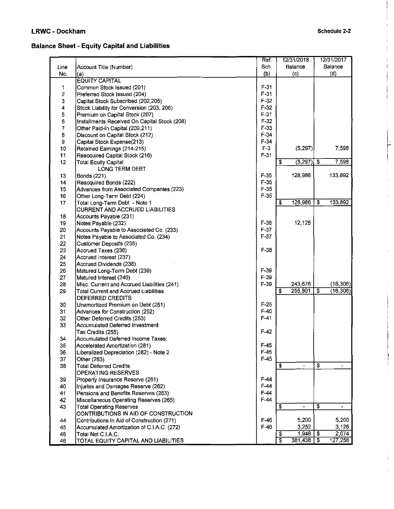l~ **International** 

Î.  $\frac{1}{2}$  and  $\frac{1}{2}$ 

 $\ddot{\phantom{0}}$ 

 $\mathbb{E}$ 

 $\bar{\omega}$ 

 $\frac{1}{\pi} \int_{0}^{\pi} \frac{1}{\pi} \, \frac{1}{\pi} \, \frac{1}{\pi} \, \frac{1}{\pi} \, \frac{1}{\pi} \, \frac{1}{\pi} \, \frac{1}{\pi} \, \frac{1}{\pi} \, \frac{1}{\pi} \, \frac{1}{\pi} \, \frac{1}{\pi} \, \frac{1}{\pi} \, \frac{1}{\pi} \, \frac{1}{\pi} \, \frac{1}{\pi} \, \frac{1}{\pi} \, \frac{1}{\pi} \, \frac{1}{\pi} \, \frac{1}{\pi} \, \frac{1}{\pi} \, \frac{$  $\frac{1}{4}$ 

### **Balance Sheet - Equity Capital and Liabilities**

|                |                                              | Ref.             | 12/31/2018                     | 12/31/2017                                |
|----------------|----------------------------------------------|------------------|--------------------------------|-------------------------------------------|
| Line           | Account Title (Number)                       | Sch.             | Balance                        | Balance                                   |
| No.            | (a)                                          | (b)              | (c)                            | (d)                                       |
|                | <b>EQUITY CAPITAL</b>                        |                  |                                |                                           |
| 1              | Common Stock Issued (201)                    | $F-31$           |                                |                                           |
| $\overline{2}$ | Preferred Stock Issued (204)                 | $F-31$           |                                |                                           |
| 3              | Capital Stock Subscribed (202,205)           | $F-32$           |                                |                                           |
| 4              | Stock Liability for Conversion (203, 206)    | $F-32$           |                                |                                           |
| 5              | Premium on Capital Stock (207)               | F-31             |                                |                                           |
| 6              | Installments Received On Capital Stock (208) | $F-32$           |                                |                                           |
| $\overline{7}$ | Other Paid-In Capital (209,211)              | $F-33$           |                                |                                           |
| 8              | Discount on Capital Stock (212)              | $F-34$           |                                |                                           |
| 9              | Capital Stock Expense(213)                   | $F-34$           |                                |                                           |
| 10             | Retained Earnings (214-215)                  | $F-3$            | (5.297)                        | 7,598                                     |
| 11             | Reacquired Capital Stock (216)               | $F-31$           |                                |                                           |
| 12             | <b>Total Equity Capital</b>                  |                  | $(5,297)$ \$<br>\$             | 7,598                                     |
|                | LONG TERM DEBT                               |                  |                                |                                           |
| 13             | <b>Bonds (221)</b>                           | $F-35$           | 128,986                        | 133,892                                   |
| 14             | Reacquired Bonds (222)                       | $F-35$           |                                |                                           |
| 15             | Advances from Associated Companies (223)     | $F-35$           |                                |                                           |
| 16             | Other Long-Term Debt (224)                   | $F-35$           |                                |                                           |
| 17             | Total Long-Term Debt - Note 1                |                  | 128,986<br>\$                  | S<br>133,892                              |
|                | <b>CURRENT AND ACCRUED LIABILITIES</b>       |                  |                                |                                           |
| 18             | Accounts Payable (231)                       |                  |                                |                                           |
| 19             | Notes Payable (232)                          | $F-36$           | 12,125                         |                                           |
| 20             | Accounts Payable to Associated Co. (233)     | $F-37$           |                                |                                           |
| 21             | Notes Payable to Associated Co. (234)        | $F-37$           |                                |                                           |
| 22             | <b>Customer Deposits (235)</b>               |                  |                                |                                           |
| 23             | Accrued Taxes (236)                          | $F-38$           |                                |                                           |
| 24             |                                              |                  |                                |                                           |
| 25             | Accrued Interest (237)                       |                  |                                |                                           |
| 26             | Accrued Dividends (238)                      | $F-39$           |                                |                                           |
| 27             | Matured Long-Term Debt (239)                 | $F-39$           |                                |                                           |
| 28             | Matured Interest (240)                       | F-39             | 243,676                        | (16, 306)                                 |
| 29             | Misc. Current and Accrued Liabilities (241)  |                  | 255,801<br>\$                  | \$<br>(16, 306)                           |
|                | <b>Total Current and Accrued Liabilities</b> |                  |                                |                                           |
|                | DEFERRED CREDITS                             | $F-25$           |                                |                                           |
| 30             | Unamortized Premium on Debt (251)            | $F-40$           |                                |                                           |
| 31             | Advances for Construction (252)              | F-41             |                                |                                           |
| 32             | Other Deferred Credits (253)                 |                  |                                |                                           |
| 33             | Accumulated Deferred Investment              | $F-42$           |                                |                                           |
|                | Tax Credits (255)                            |                  |                                |                                           |
| 34             | Accumulated Deferred Income Taxes:           |                  |                                |                                           |
| 35             | Accelerated Amortization (281)               | $F-45$<br>$F-45$ |                                |                                           |
| 36             | Liberalized Depreciation (282) - Note 2      | $F-45$           |                                |                                           |
| 37             | Other (283)                                  |                  |                                |                                           |
| 38             | <b>Total Deferred Credits</b>                |                  | \$<br>$\overline{\phantom{a}}$ | \$<br>$\overline{\phantom{a}}$            |
|                | OPERATING RESERVES                           |                  |                                |                                           |
| 39             | Property Insurance Reserve (261)             | $F-44$           |                                |                                           |
| 40             | Injuries and Damages Reserve (262)           | $F-44$           |                                |                                           |
| 41             | Pensions and Benefits Reserves (263)         | $F-44$           |                                |                                           |
| 42             | Miscellaneous Operating Reserves (265)       | $F-44$           |                                |                                           |
| 43             | <b>Total Operating Reserves</b>              |                  | \$                             | $\overline{\mathbf{s}}$<br>$\blacksquare$ |
|                | CONTRIBUTIONS IN AID OF CONSTRUCTION         |                  |                                |                                           |
| 44             | Contributions In Aid of Construction (271)   | $F-46$           | 5.200                          | 5,200                                     |
| 45             | Accumulated Amortization of C.I.A.C. (272)   | $F-46$           | 3,252                          | 3,126                                     |
| 46             | Total Net C.I.A.C.                           |                  | 1,948<br>\$                    | 2,074<br>\$                               |
| 46             | TOTAL EQUITY CAPITAL AND LIABILITIES         |                  | T<br>381,438                   | $\overline{\mathbf{3}}$<br>127,258        |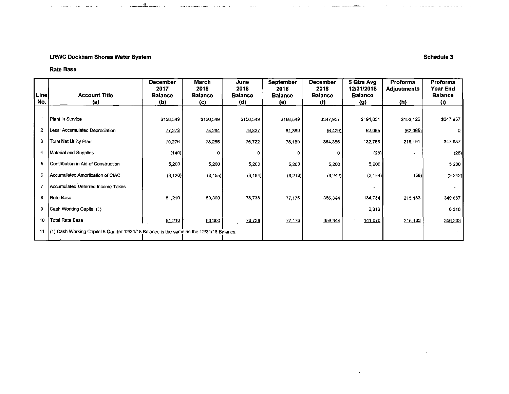### LRWC Dockham Shores Water System Schedule 3

"--.. -1.L-~ -·"·.

#### Rate Base

| Line           | <b>Account Title</b>                                                                     | <b>December</b><br>2017<br><b>Balance</b> | <b>March</b><br>2018<br><b>Balance</b> | June<br>2018<br>Balance | <b>September</b><br>2018<br><b>Balance</b> | <b>December</b><br>2018<br><b>Balance</b> | 5 Qtrs Avg<br>12/31/2018<br><b>Balance</b> | Proforma<br>Adjustments | Proforma<br><b>Year End</b><br><b>Balance</b> |
|----------------|------------------------------------------------------------------------------------------|-------------------------------------------|----------------------------------------|-------------------------|--------------------------------------------|-------------------------------------------|--------------------------------------------|-------------------------|-----------------------------------------------|
| No.            | (a)                                                                                      | (b)                                       | (c)                                    | (d)                     | (e)                                        | (f)                                       | (g)                                        | (h)                     | (i)                                           |
| -1             | Plant in Service                                                                         | \$156,549                                 | \$156,549                              | \$156,549               | \$156,549                                  | \$347,957                                 | \$194,831                                  | \$153,126               | \$347,957                                     |
| $\overline{2}$ | Less: Accumulated Depreciation                                                           | 77,273                                    | 78,294                                 | 79,827                  | 81,360                                     | (6, 429)                                  | 62,065                                     | (62,065)                |                                               |
| 3              | Total Net Utility Plant                                                                  | 79,276                                    | 78,255                                 | 76,722                  | 75,189                                     | 354,386                                   | 132,766                                    | 215,191                 | 347,957                                       |
| 4              | Material and Supplies                                                                    | (140)                                     | ٥                                      | 0                       | 0                                          | 0                                         | (28)                                       | $\bullet$               | (28)                                          |
| 5              | Contribution in Aid of Construction                                                      | 5,200                                     | 5,200                                  | 5,200                   | 5,200                                      | 5,200                                     | 5,200                                      |                         | 5,200                                         |
| 6              | Accumulated Amortization of CIAC                                                         | (3, 126)                                  | (3, 155)                               | (3, 184)                | (3,213)                                    | (3, 242)                                  | (3, 184)                                   | (58)                    | (3, 242)                                      |
|                | Accumulated Deferred Income Taxes                                                        |                                           |                                        |                         |                                            |                                           |                                            |                         |                                               |
| 8              | Rate Base                                                                                | 81,210                                    | 80,300                                 | 78,738                  | 77,176                                     | 356,344                                   | 134,754                                    | 215.133                 | 349.887                                       |
| 9              | Cash Working Capital (1)                                                                 |                                           |                                        |                         |                                            |                                           | 6,316                                      |                         | 6,316                                         |
| 10             | <b>Total Rate Base</b>                                                                   | 81,210                                    | 80,300                                 | 78.738                  | 77,176                                     | 356,344                                   | 141,070                                    | 215,133                 | 356,203                                       |
| 11             | (1) Cash Working Capital 5 Quarter 12/31/18 Balance is the same as the 12/31/18 Balance. |                                           |                                        |                         |                                            |                                           |                                            |                         |                                               |

 $\sim$ 

المنظم المستعمل المستقل المستعمل المناول المناول المناول المناول المناول المناول المناول المناول المناول المناول

 $\sim$ 

المعارفات والمعتقلة والمتحدث والمستعطفة والمارين والمناد

 $\sim 10^{-1}$ 

 $\sim 10^{-1}$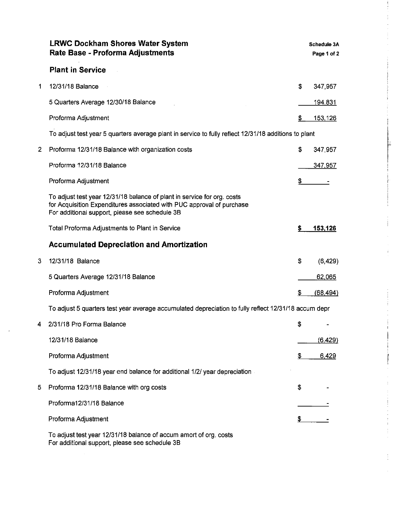|   | <b>LRWC Dockham Shores Water System</b><br>Rate Base - Proforma Adjustments                                                                                                                        |    | <b>Schedule 3A</b><br>Page 1 of 2 |
|---|----------------------------------------------------------------------------------------------------------------------------------------------------------------------------------------------------|----|-----------------------------------|
|   | <b>Plant in Service</b>                                                                                                                                                                            |    |                                   |
| 1 | 12/31/18 Balance                                                                                                                                                                                   | \$ | 347,957                           |
|   | 5 Quarters Average 12/30/18 Balance                                                                                                                                                                |    | <u>194,831</u>                    |
|   | Proforma Adjustment                                                                                                                                                                                | \$ | 153,126                           |
|   | To adjust test year 5 quarters average plant in service to fully reflect 12/31/18 additions to plant                                                                                               |    |                                   |
| 2 | Proforma 12/31/18 Balance with organization costs                                                                                                                                                  | \$ | 347,957                           |
|   | Proforma 12/31/18 Balance                                                                                                                                                                          |    | 347,957                           |
|   | Proforma Adjustment                                                                                                                                                                                | \$ |                                   |
|   | To adjust test year 12/31/18 balance of plant in service for org. costs<br>for Acquisition Expenditures associated with PUC approval of purchase<br>For additional support, please see schedule 3B |    |                                   |
|   | Total Proforma Adjustments to Plant in Service                                                                                                                                                     | s  | 153,126                           |
|   | <b>Accumulated Depreciation and Amortization</b>                                                                                                                                                   |    |                                   |
| 3 | 12/31/18 Balance                                                                                                                                                                                   | \$ | (6, 429)                          |
|   | 5 Quarters Average 12/31/18 Balance                                                                                                                                                                |    | 62,065                            |
|   | Proforma Adjustment                                                                                                                                                                                | S  | (68, 494)                         |
|   | To adjust 5 quarters test year average accumulated depreciation to fully reflect 12/31/18 accum depr                                                                                               |    |                                   |
|   | 2/31/18 Pro Forma Balance                                                                                                                                                                          | \$ |                                   |
|   | 12/31/18 Balance                                                                                                                                                                                   |    | (6, 429)                          |
|   | Proforma Adjustment                                                                                                                                                                                | \$ | <u>6,429</u>                      |
|   | To adjust 12/31/18 year end balance for additional 1/2/ year depreciation                                                                                                                          |    |                                   |
| 5 | Proforma 12/31/18 Balance with org costs                                                                                                                                                           | S  |                                   |
|   | Proforma12/31/18 Balance                                                                                                                                                                           |    |                                   |
|   | Proforma Adjustment                                                                                                                                                                                | \$ |                                   |
|   | To adjust test year 12/31/18 balance of accum amort of org. costs<br>For additional support, please see schedule 3B                                                                                |    |                                   |

 $\hat{\boldsymbol{\beta}}$ 

E

 $\hat{\mathcal{A}}$ 

 $\frac{1}{2}$  . The sequence of  $\frac{1}{2}$ 

 $\frac{1}{4}$ Ť.

 $\overline{\phantom{a}}$ Ť  $\label{eq:1} \begin{split} \mathcal{L}_{\text{in}}(\mathcal{L}_{\text{in}}(\mathcal{L}_{\text{out}})) = \mathcal{L}_{\text{in}}(\mathcal{L}_{\text{out}}(\mathcal{L}_{\text{out}})) = \mathcal{L}_{\text{in}}(\mathcal{L}_{\text{out}}(\mathcal{L}_{\text{out}}(\mathcal{L}_{\text{out}}(\mathcal{L}_{\text{out}}(\mathcal{L}_{\text{out}}(\mathcal{L}_{\text{out}}(\mathcal{L}_{\text{out}}(\mathcal{L}_{\text{out}}(\mathcal{L}_{\text{out}}(\mathcal{L}_{\text{out}}(\mathcal{L}_{\text{out}}(\mathcal{L}_{$ 

医子宫神经 医甲基 电电子

 $\frac{1}{2}$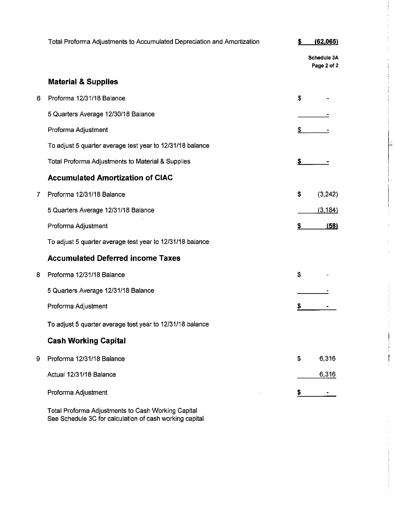|   | Total Proforma Adjustments to Accumulated Depreciation and Amortization |     | (62,065)                   |  |
|---|-------------------------------------------------------------------------|-----|----------------------------|--|
|   |                                                                         |     | Schedule 3A<br>Page 2 of 2 |  |
|   | <b>Material &amp; Supplies</b>                                          |     |                            |  |
| 6 | Proforma 12/31/18 Balance                                               | \$  |                            |  |
|   | 5 Quarters Average 12/30/18 Balance                                     |     |                            |  |
|   | Proforma Adjustment                                                     | \$  |                            |  |
|   | To adjust 5 quarter average test year to 12/31/18 balance               |     |                            |  |
|   | Total Proforma Adjustments to Material & Supplies                       | \$. |                            |  |
|   | <b>Accumulated Amortization of CIAC</b>                                 |     |                            |  |
| 7 | Proforma 12/31/18 Balance                                               | \$  | (3,242)                    |  |
|   | 5 Quarters Average 12/31/18 Balance                                     |     | (3, 184)                   |  |
|   | Proforma Adjustment                                                     | \$. | (58)                       |  |
|   | To adjust 5 quarter average test year to 12/31/18 balance               |     |                            |  |
|   | <b>Accumulated Deferred income Taxes</b>                                |     |                            |  |
| 8 | Proforma 12/31/18 Balance                                               | \$  |                            |  |
|   | 5 Quarters Average 12/31/18 Balance                                     |     |                            |  |
|   | Proforma Adjustment                                                     |     |                            |  |
|   | To adjust 5 quarter average test year to 12/31/18 balance               |     |                            |  |
|   | <b>Cash Working Capital</b>                                             |     |                            |  |
| 9 | Proforma 12/31/18 Balance                                               | \$  | 6,316                      |  |
|   | Actual 12/31/18 Balance                                                 |     | 6,316                      |  |
|   | Proforma Adjustment                                                     | S   |                            |  |
|   |                                                                         |     |                            |  |

ŧ

Total Proforma Adjustments to Cash Working Capital See Schedule 3C for calculation of cash working capital.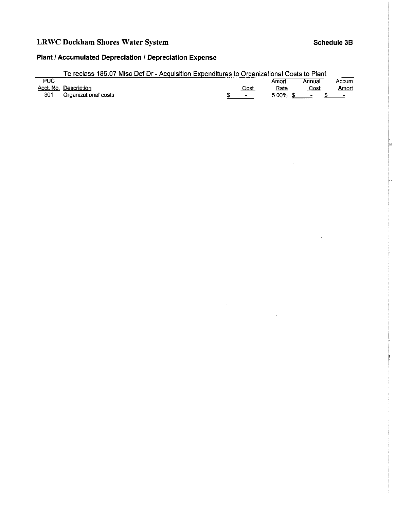# **LRWC Dockham Shores Water System Schedule 38 Schedule 38**

 $\ddot{\phantom{0}}$ 

 $\vert$ ,  $\mathbb{I}$ 

╞

## **Plant I Accumulated Depreciation I Depreciation Expense**

|                             | To reclass 186.07 Misc Def Dr - Acquisition Expenditures to Organizational Costs to Plant |          |                          |              |
|-----------------------------|-------------------------------------------------------------------------------------------|----------|--------------------------|--------------|
| <b>PUC</b>                  |                                                                                           | Amort.   | Annual                   | Accum        |
| Acct. No. Description       | <u>Cost</u>                                                                               | Rate     | Cost                     | <u>Amort</u> |
| 301<br>Organizational costs | $\overline{\phantom{0}}$                                                                  | 5.00% \$ | $\overline{\phantom{0}}$ |              |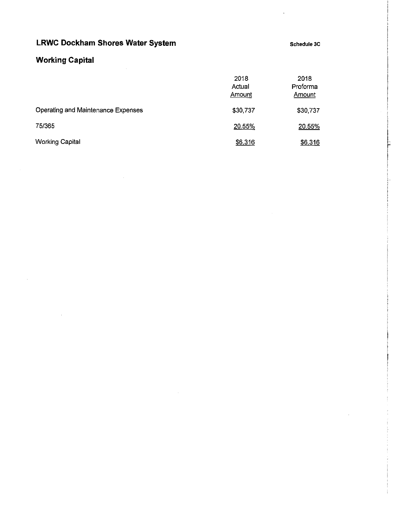Schedule 3C

re de la propietat de la propietat de la propietat de la propietat de la propietat de la propietat de la propi<br>La propietat de la propietat de la propietat de la propietat de la propietat de la propietat de la propietat d

I '

# **Working Capital**

|                                    | 2018<br>Actual<br>Amount | 2018<br>Proforma<br><b>Amount</b> |
|------------------------------------|--------------------------|-----------------------------------|
| Operating and Maintenance Expenses | \$30,737                 | \$30,737                          |
| 75/365                             | 20.55%                   | 20.55%                            |
| <b>Working Capital</b>             | \$6,316                  | \$6,316                           |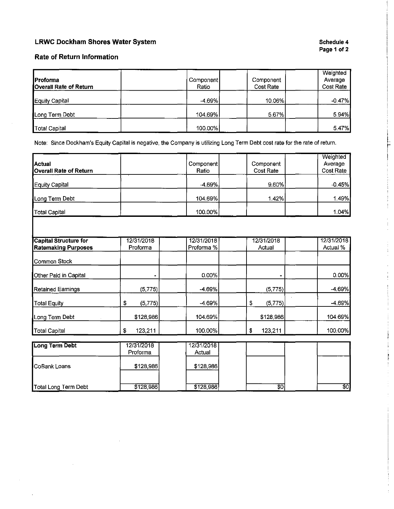#### **Schedule 4 Page 1of2**

I F  $\mathbf{I}$ 

 $\pm$ 

#### **Rate of Return Information**

| <b>IProforma</b><br><b>Overall Rate of Return</b> | Component<br>Ratio | Component<br>Cost Rate | Weighted<br>Average<br>Cost Rate |
|---------------------------------------------------|--------------------|------------------------|----------------------------------|
| Equity Capital                                    | $-4.69%$           | 10.06%                 | $-0.47%$                         |
| Long Term Debt                                    | 104.69%            | 567%                   | 5.94%                            |
| <b>Total Capital</b>                              | $100.00\%$         |                        | $5.47\%$                         |

Note: Since Dockham's Equity Capital is negative, the Company is utilizing Long Term Debt cost rate for the rate of return.

| Actual                 | Component | Component | Weighted<br>Average |
|------------------------|-----------|-----------|---------------------|
| Overall Rate of Return | Ratio     | Cost Rate | Cost Rate           |
| Equity Capital         | $-4.69%$  | 9.60%     | $-0.45%$            |
| Long Term Debt         | 104.69%   | 142%      | 1.49%               |
| Total Capital          | 100.00%   |           | 1.04%               |

| Capital Structure for      | 12/31/2018    | 12/31/2018 | 12/31/2018     | 12/31/2018 |
|----------------------------|---------------|------------|----------------|------------|
| <b>Ratemaking Purposes</b> | Proforma      | Proforma % | Actual         | Actual %   |
| <b>I</b> Common Stock      |               |            |                |            |
| Other Paid in Capital      |               | 0.00%      |                | 0.00%      |
| Retained Earnings          | (5, 775)      | $-4.69%$   | (5, 775)       | $-4.69%$   |
| Total Equity               | (5,775)<br>\$ | $-4.69%$   | (5, 775)<br>\$ | $-4.69%$   |
| Long Term Debt             | \$128,986     | 104.69%    | \$128,986      | 104.69%    |
| Total Capital              | 123,211<br>S  | 100.00%    | 123,211<br>\$  | 100.00%    |

| Long Term Debt        | 12/31/2018<br>Proforma | 12/31/2018<br>Actual |           |    |      |
|-----------------------|------------------------|----------------------|-----------|----|------|
| <b>I</b> CoBank Loans | \$128,986              |                      | \$128,986 |    |      |
| Total Long Term Debt  | \$128,986              |                      | \$128,986 | 80 | \$0] |